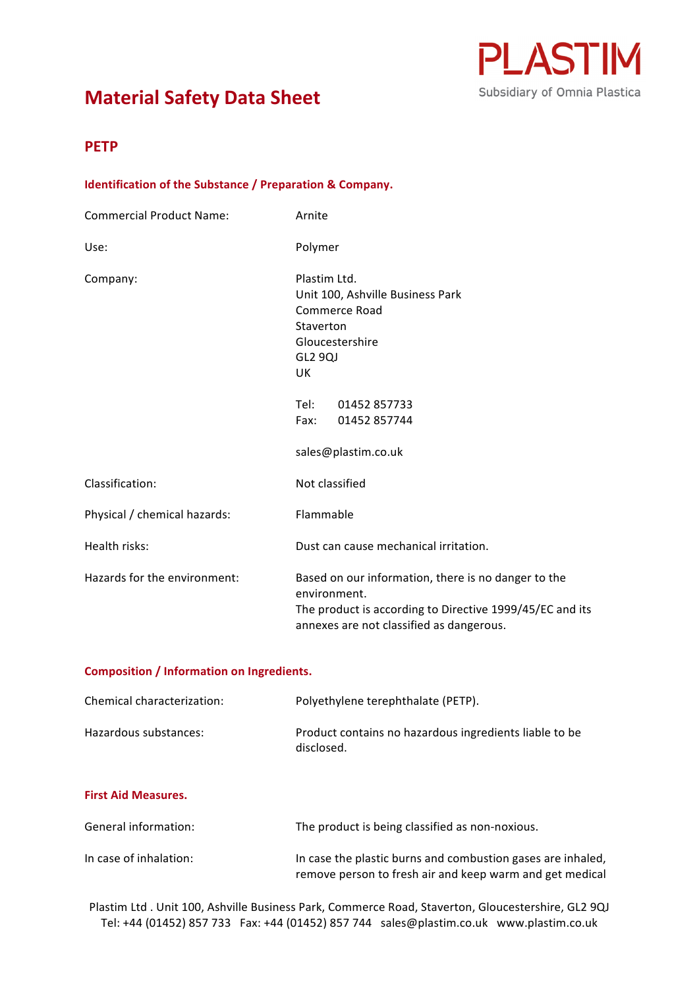# **Material Safety Data Sheet**



## **PETP**

## **Identification of the Substance / Preparation & Company.**

| <b>Commercial Product Name:</b> | Arnite                                                                                                                                                                      |  |
|---------------------------------|-----------------------------------------------------------------------------------------------------------------------------------------------------------------------------|--|
| Use:                            | Polymer                                                                                                                                                                     |  |
| Company:                        | Plastim Ltd.<br>Unit 100, Ashville Business Park<br>Commerce Road<br>Staverton<br>Gloucestershire<br>GL2 9QJ<br>UK.                                                         |  |
|                                 | Tel:<br>01452 857733<br>Fax:<br>01452 857744                                                                                                                                |  |
|                                 | sales@plastim.co.uk                                                                                                                                                         |  |
| Classification:                 | Not classified                                                                                                                                                              |  |
| Physical / chemical hazards:    | Flammable                                                                                                                                                                   |  |
| Health risks:                   | Dust can cause mechanical irritation.                                                                                                                                       |  |
| Hazards for the environment:    | Based on our information, there is no danger to the<br>environment.<br>The product is according to Directive 1999/45/EC and its<br>annexes are not classified as dangerous. |  |

## **Composition / Information on Ingredients.**

| Chemical characterization: | Polyethylene terephthalate (PETP).                                   |
|----------------------------|----------------------------------------------------------------------|
| Hazardous substances:      | Product contains no hazardous ingredients liable to be<br>disclosed. |

## **First Aid Measures.**

| General information:   | The product is being classified as non-noxious.                                                                         |
|------------------------|-------------------------------------------------------------------------------------------------------------------------|
| In case of inhalation: | In case the plastic burns and combustion gases are inhaled,<br>remove person to fresh air and keep warm and get medical |

Plastim Ltd . Unit 100, Ashville Business Park, Commerce Road, Staverton, Gloucestershire, GL2 9QJ Tel: +44 (01452) 857 733 Fax: +44 (01452) 857 744 sales@plastim.co.uk www.plastim.co.uk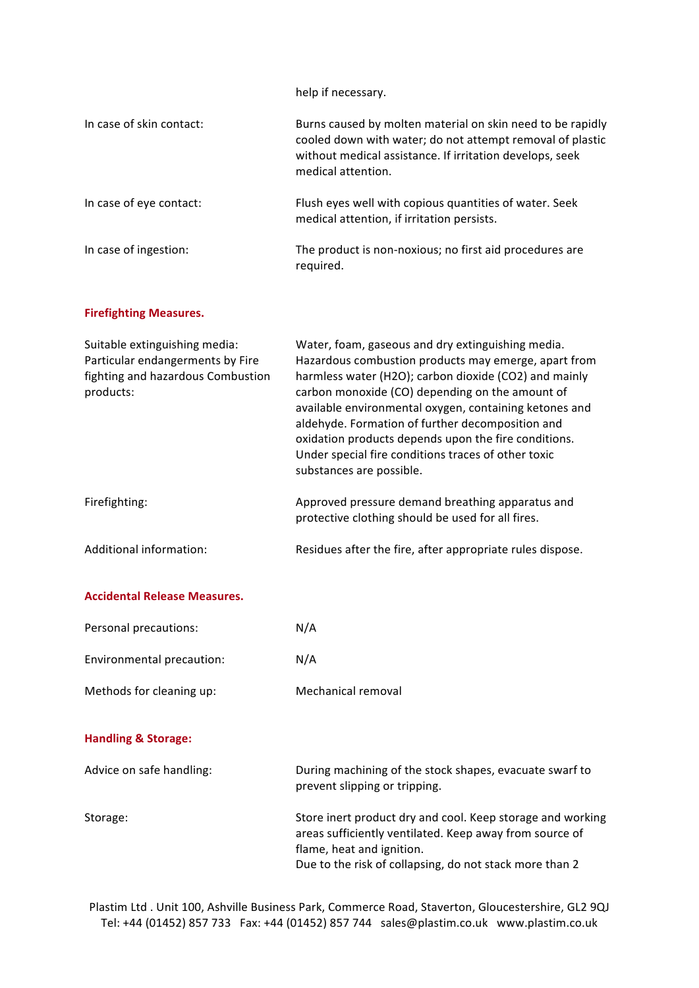help if necessary.

| In case of skin contact: | Burns caused by molten material on skin need to be rapidly<br>cooled down with water; do not attempt removal of plastic<br>without medical assistance. If irritation develops, seek<br>medical attention. |
|--------------------------|-----------------------------------------------------------------------------------------------------------------------------------------------------------------------------------------------------------|
| In case of eye contact:  | Flush eyes well with copious quantities of water. Seek<br>medical attention, if irritation persists.                                                                                                      |
| In case of ingestion:    | The product is non-noxious; no first aid procedures are<br>required.                                                                                                                                      |

## **Firefighting Measures.**

| Suitable extinguishing media:<br>Particular endangerments by Fire<br>fighting and hazardous Combustion<br>products: | Water, foam, gaseous and dry extinguishing media.<br>Hazardous combustion products may emerge, apart from<br>harmless water (H2O); carbon dioxide (CO2) and mainly<br>carbon monoxide (CO) depending on the amount of<br>available environmental oxygen, containing ketones and<br>aldehyde. Formation of further decomposition and<br>oxidation products depends upon the fire conditions.<br>Under special fire conditions traces of other toxic<br>substances are possible. |
|---------------------------------------------------------------------------------------------------------------------|--------------------------------------------------------------------------------------------------------------------------------------------------------------------------------------------------------------------------------------------------------------------------------------------------------------------------------------------------------------------------------------------------------------------------------------------------------------------------------|
| Firefighting:                                                                                                       | Approved pressure demand breathing apparatus and<br>protective clothing should be used for all fires.                                                                                                                                                                                                                                                                                                                                                                          |
| Additional information:                                                                                             | Residues after the fire, after appropriate rules dispose.                                                                                                                                                                                                                                                                                                                                                                                                                      |

### **Accidental Release Measures.**

| Personal precautions:     | N/A                |
|---------------------------|--------------------|
| Environmental precaution: | N/A                |
| Methods for cleaning up:  | Mechanical removal |

## **Handling & Storage:**

| Advice on safe handling: | During machining of the stock shapes, evacuate swarf to<br>prevent slipping or tripping.                              |
|--------------------------|-----------------------------------------------------------------------------------------------------------------------|
| Storage:                 | Store inert product dry and cool. Keep storage and working<br>areas sufficiently ventilated. Keep away from source of |
|                          | flame, heat and ignition.                                                                                             |
|                          | Due to the risk of collapsing, do not stack more than 2                                                               |

Plastim Ltd . Unit 100, Ashville Business Park, Commerce Road, Staverton, Gloucestershire, GL2 9QJ Tel: +44 (01452) 857 733 Fax: +44 (01452) 857 744 sales@plastim.co.uk www.plastim.co.uk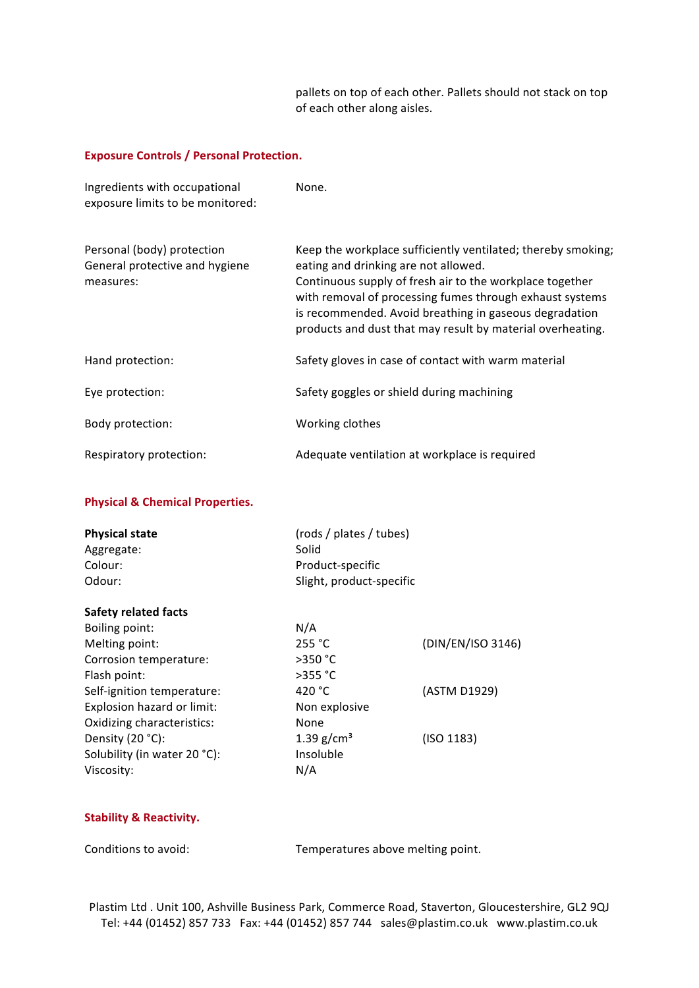pallets on top of each other. Pallets should not stack on top of each other along aisles.

### **Exposure Controls / Personal Protection.**

| Ingredients with occupational<br>exposure limits to be monitored:         | None.                                                                                                                                                                                                                                                                                                                                                |
|---------------------------------------------------------------------------|------------------------------------------------------------------------------------------------------------------------------------------------------------------------------------------------------------------------------------------------------------------------------------------------------------------------------------------------------|
| Personal (body) protection<br>General protective and hygiene<br>measures: | Keep the workplace sufficiently ventilated; thereby smoking;<br>eating and drinking are not allowed.<br>Continuous supply of fresh air to the workplace together<br>with removal of processing fumes through exhaust systems<br>is recommended. Avoid breathing in gaseous degradation<br>products and dust that may result by material overheating. |
| Hand protection:                                                          | Safety gloves in case of contact with warm material                                                                                                                                                                                                                                                                                                  |
| Eye protection:                                                           | Safety goggles or shield during machining                                                                                                                                                                                                                                                                                                            |
| Body protection:                                                          | Working clothes                                                                                                                                                                                                                                                                                                                                      |
| Respiratory protection:                                                   | Adequate ventilation at workplace is required                                                                                                                                                                                                                                                                                                        |

## **Physical & Chemical Properties.**

| <b>Physical state</b><br>Aggregate:<br>Colour:<br>Odour: | (rods / plates / tubes)<br>Solid<br>Product-specific<br>Slight, product-specific |                   |
|----------------------------------------------------------|----------------------------------------------------------------------------------|-------------------|
| <b>Safety related facts</b>                              |                                                                                  |                   |
| <b>Boiling point:</b>                                    | N/A                                                                              |                   |
| Melting point:                                           | 255 °C                                                                           | (DIN/EN/ISO 3146) |
| Corrosion temperature:                                   | $>350$ °C                                                                        |                   |
| Flash point:                                             | $>355$ °C                                                                        |                   |
| Self-ignition temperature:                               | 420 $^{\circ}$ C                                                                 | (ASTM D1929)      |
| Explosion hazard or limit:                               | Non explosive                                                                    |                   |
| Oxidizing characteristics:                               | None                                                                             |                   |
| Density (20 °C):                                         | 1.39 $g/cm^{3}$                                                                  | (ISO 1183)        |
| Solubility (in water 20 °C):                             | Insoluble                                                                        |                   |
| Viscosity:                                               | N/A                                                                              |                   |
|                                                          |                                                                                  |                   |

## **Stability & Reactivity.**

Conditions to avoid: Temperatures above melting point.

Plastim Ltd . Unit 100, Ashville Business Park, Commerce Road, Staverton, Gloucestershire, GL2 9QJ Tel: +44 (01452) 857 733 Fax: +44 (01452) 857 744 sales@plastim.co.uk www.plastim.co.uk